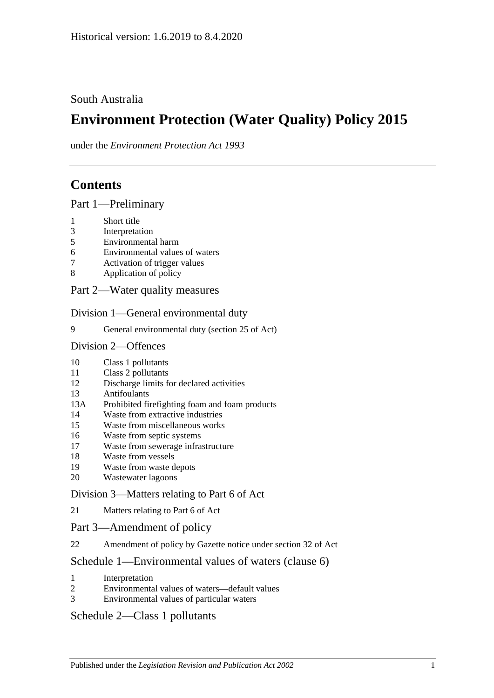# South Australia

# **Environment Protection (Water Quality) Policy 2015**

under the *Environment Protection Act 1993*

# **Contents**

Part [1—Preliminary](#page-1-0)

- [Short title](#page-1-1)
- [Interpretation](#page-1-2)
- [Environmental harm](#page-4-0)
- [Environmental values of waters](#page-4-1)
- [Activation of trigger values](#page-5-0)
- [Application of policy](#page-6-0)
- Part [2—Water quality measures](#page-7-0)

Division [1—General environmental duty](#page-7-1)

[General environmental duty \(section 25 of Act\)](#page-7-2)

### Division [2—Offences](#page-7-3)

- [Class 1 pollutants](#page-7-4)
- [Class 2 pollutants](#page-8-0)
- [Discharge limits for declared activities](#page-8-1)
- [Antifoulants](#page-9-0)<br>13A Prohibited fi
- [Prohibited firefighting foam and foam products](#page-9-1)
- [Waste from extractive industries](#page-11-0)
- [Waste from miscellaneous works](#page-11-1)
- [Waste from septic systems](#page-12-0)
- [Waste from sewerage infrastructure](#page-13-0)
- [Waste from vessels](#page-13-1)
- [Waste from waste depots](#page-16-0)
- [Wastewater lagoons](#page-16-1)

## Division [3—Matters relating to Part](#page-16-2) 6 of Act

[Matters relating to Part](#page-16-3) 6 of Act

## Part [3—Amendment of policy](#page-17-0)

[Amendment of policy by Gazette notice under section](#page-17-1) 32 of Act

# Schedule [1—Environmental values of waters \(clause](#page-17-2) 6)

- [Interpretation](#page-17-3)
- [Environmental values of waters—default values](#page-18-0)
- [Environmental values of particular waters](#page-18-1)

# Schedule [2—Class 1 pollutants](#page-19-0)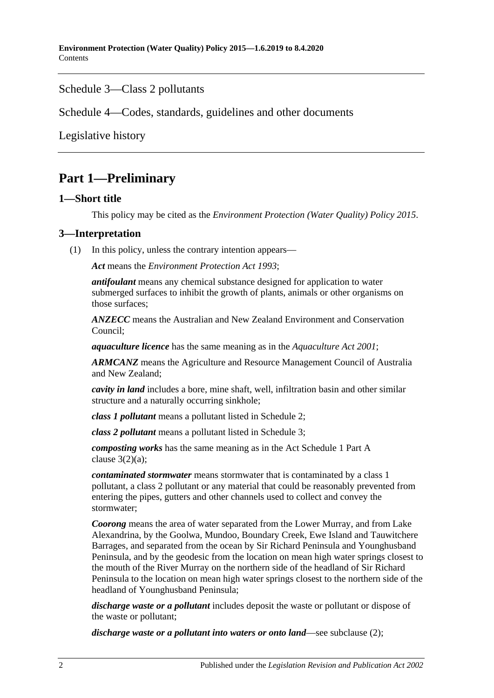## Schedule [3—Class 2 pollutants](#page-20-0)

Schedule [4—Codes, standards, guidelines and other documents](#page-21-0)

[Legislative history](#page-23-0)

# <span id="page-1-0"></span>**Part 1—Preliminary**

## <span id="page-1-1"></span>**1—Short title**

This policy may be cited as the *[Environment Protection \(Water Quality\) Policy](http://www.legislation.sa.gov.au/index.aspx?action=legref&type=subordleg&legtitle=Environment%20Protection%20(Water%20Quality)%20Policy%202015) 2015*.

## <span id="page-1-2"></span>**3—Interpretation**

(1) In this policy, unless the contrary intention appears—

*Act* means the *[Environment Protection Act](http://www.legislation.sa.gov.au/index.aspx?action=legref&type=act&legtitle=Environment%20Protection%20Act%201993) 1993*;

*antifoulant* means any chemical substance designed for application to water submerged surfaces to inhibit the growth of plants, animals or other organisms on those surfaces;

*ANZECC* means the Australian and New Zealand Environment and Conservation Council;

*aquaculture licence* has the same meaning as in the *[Aquaculture Act](http://www.legislation.sa.gov.au/index.aspx?action=legref&type=act&legtitle=Aquaculture%20Act%202001) 2001*;

*ARMCANZ* means the Agriculture and Resource Management Council of Australia and New Zealand;

*cavity in land* includes a bore, mine shaft, well, infiltration basin and other similar structure and a naturally occurring sinkhole;

*class 1 pollutant* means a pollutant listed in [Schedule](#page-19-0) 2;

*class 2 pollutant* means a pollutant listed in [Schedule](#page-20-0) 3;

*composting works* has the same meaning as in the Act Schedule 1 Part A clause  $3(2)(a)$ ;

*contaminated stormwater* means stormwater that is contaminated by a class 1 pollutant, a class 2 pollutant or any material that could be reasonably prevented from entering the pipes, gutters and other channels used to collect and convey the stormwater;

*Coorong* means the area of water separated from the Lower Murray, and from Lake Alexandrina, by the Goolwa, Mundoo, Boundary Creek, Ewe Island and Tauwitchere Barrages, and separated from the ocean by Sir Richard Peninsula and Younghusband Peninsula, and by the geodesic from the location on mean high water springs closest to the mouth of the River Murray on the northern side of the headland of Sir Richard Peninsula to the location on mean high water springs closest to the northern side of the headland of Younghusband Peninsula;

*discharge waste or a pollutant* includes deposit the waste or pollutant or dispose of the waste or pollutant;

*discharge waste or a pollutant into waters or onto land*—see [subclause](#page-4-2) (2);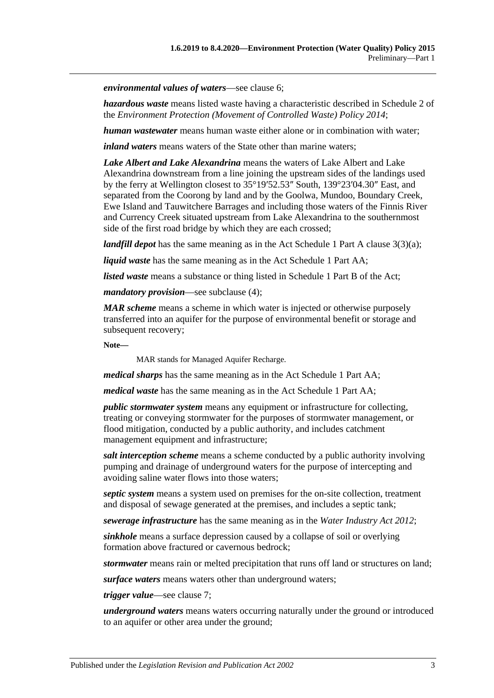*environmental values of waters*—see [clause](#page-4-1) 6;

*hazardous waste* means listed waste having a characteristic described in Schedule 2 of the *[Environment Protection \(Movement of Controlled Waste\) Policy](http://www.legislation.sa.gov.au/index.aspx?action=legref&type=subordleg&legtitle=Environment%20Protection%20(Movement%20of%20Controlled%20Waste)%20Policy%202014) 2014*;

*human wastewater* means human waste either alone or in combination with water;

*inland waters* means waters of the State other than marine waters;

*Lake Albert and Lake Alexandrina* means the waters of Lake Albert and Lake Alexandrina downstream from a line joining the upstream sides of the landings used by the ferry at Wellington closest to 35°19′52.53″ South, 139°23′04.30″ East, and separated from the Coorong by land and by the Goolwa, Mundoo, Boundary Creek, Ewe Island and Tauwitchere Barrages and including those waters of the Finnis River and Currency Creek situated upstream from Lake Alexandrina to the southernmost side of the first road bridge by which they are each crossed;

*landfill depot* has the same meaning as in the Act Schedule 1 Part A clause 3(3)(a);

*liquid waste* has the same meaning as in the Act Schedule 1 Part AA;

*listed waste* means a substance or thing listed in Schedule 1 Part B of the Act;

*mandatory provision*—see [subclause](#page-4-3) (4);

*MAR scheme* means a scheme in which water is injected or otherwise purposely transferred into an aquifer for the purpose of environmental benefit or storage and subsequent recovery;

**Note—**

MAR stands for Managed Aquifer Recharge.

*medical sharps* has the same meaning as in the Act Schedule 1 Part AA;

*medical waste* has the same meaning as in the Act Schedule 1 Part AA;

*public stormwater system* means any equipment or infrastructure for collecting, treating or conveying stormwater for the purposes of stormwater management, or flood mitigation, conducted by a public authority, and includes catchment management equipment and infrastructure;

*salt interception scheme* means a scheme conducted by a public authority involving pumping and drainage of underground waters for the purpose of intercepting and avoiding saline water flows into those waters;

*septic system* means a system used on premises for the on-site collection, treatment and disposal of sewage generated at the premises, and includes a septic tank;

*sewerage infrastructure* has the same meaning as in the *[Water Industry Act](http://www.legislation.sa.gov.au/index.aspx?action=legref&type=act&legtitle=Water%20Industry%20Act%202012) 2012*;

*sinkhole* means a surface depression caused by a collapse of soil or overlying formation above fractured or cavernous bedrock;

*stormwater* means rain or melted precipitation that runs off land or structures on land;

*surface waters* means waters other than underground waters;

*trigger value*—see [clause](#page-5-0) 7;

*underground waters* means waters occurring naturally under the ground or introduced to an aquifer or other area under the ground;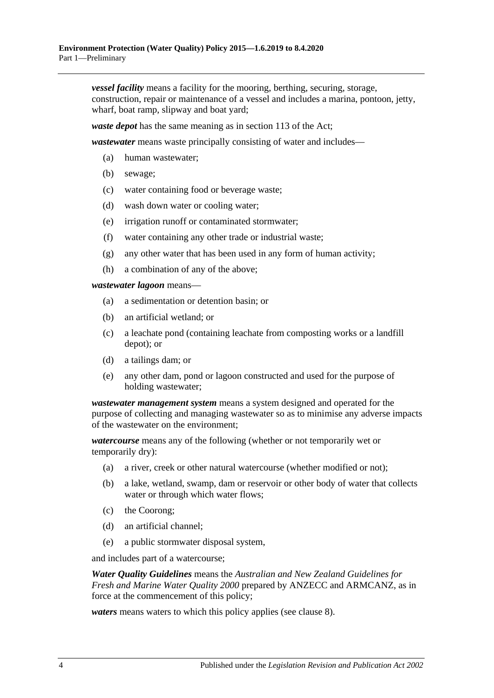*vessel facility* means a facility for the mooring, berthing, securing, storage, construction, repair or maintenance of a vessel and includes a marina, pontoon, jetty, wharf, boat ramp, slipway and boat yard;

*waste depot* has the same meaning as in section 113 of the Act;

*wastewater* means waste principally consisting of water and includes—

- (a) human wastewater;
- (b) sewage;
- (c) water containing food or beverage waste;
- (d) wash down water or cooling water;
- (e) irrigation runoff or contaminated stormwater;
- (f) water containing any other trade or industrial waste;
- (g) any other water that has been used in any form of human activity;
- (h) a combination of any of the above;

*wastewater lagoon* means—

- (a) a sedimentation or detention basin; or
- (b) an artificial wetland; or
- (c) a leachate pond (containing leachate from composting works or a landfill depot); or
- (d) a tailings dam; or
- (e) any other dam, pond or lagoon constructed and used for the purpose of holding wastewater;

*wastewater management system* means a system designed and operated for the purpose of collecting and managing wastewater so as to minimise any adverse impacts of the wastewater on the environment;

*watercourse* means any of the following (whether or not temporarily wet or temporarily dry):

- (a) a river, creek or other natural watercourse (whether modified or not);
- (b) a lake, wetland, swamp, dam or reservoir or other body of water that collects water or through which water flows;
- (c) the Coorong;
- (d) an artificial channel;
- (e) a public stormwater disposal system,

and includes part of a watercourse;

*Water Quality Guidelines* means the *Australian and New Zealand Guidelines for Fresh and Marine Water Quality 2000* prepared by ANZECC and ARMCANZ, as in force at the commencement of this policy;

*waters* means waters to which this policy applies (see [clause](#page-6-0) 8).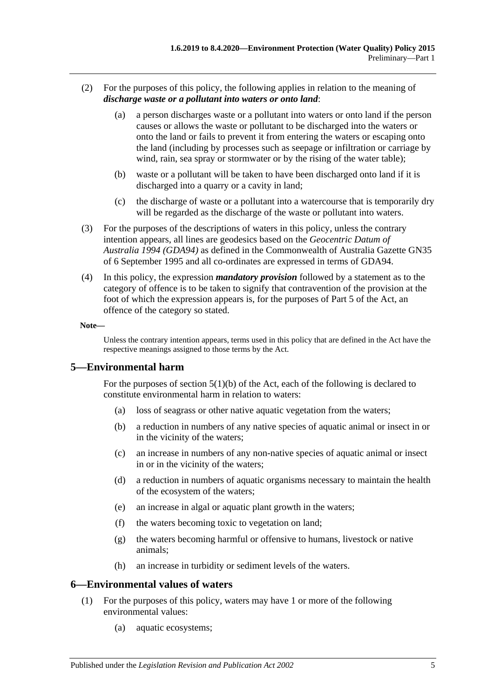- <span id="page-4-2"></span>(2) For the purposes of this policy, the following applies in relation to the meaning of *discharge waste or a pollutant into waters or onto land*:
	- (a) a person discharges waste or a pollutant into waters or onto land if the person causes or allows the waste or pollutant to be discharged into the waters or onto the land or fails to prevent it from entering the waters or escaping onto the land (including by processes such as seepage or infiltration or carriage by wind, rain, sea spray or stormwater or by the rising of the water table);
	- (b) waste or a pollutant will be taken to have been discharged onto land if it is discharged into a quarry or a cavity in land;
	- (c) the discharge of waste or a pollutant into a watercourse that is temporarily dry will be regarded as the discharge of the waste or pollutant into waters.
- (3) For the purposes of the descriptions of waters in this policy, unless the contrary intention appears, all lines are geodesics based on the *Geocentric Datum of Australia 1994 (GDA94)* as defined in the Commonwealth of Australia Gazette GN35 of 6 September 1995 and all co-ordinates are expressed in terms of GDA94.
- <span id="page-4-3"></span>(4) In this policy, the expression *mandatory provision* followed by a statement as to the category of offence is to be taken to signify that contravention of the provision at the foot of which the expression appears is, for the purposes of Part 5 of the Act, an offence of the category so stated.

#### **Note—**

Unless the contrary intention appears, terms used in this policy that are defined in the Act have the respective meanings assigned to those terms by the Act.

## <span id="page-4-0"></span>**5—Environmental harm**

For the purposes of section 5(1)(b) of the Act, each of the following is declared to constitute environmental harm in relation to waters:

- (a) loss of seagrass or other native aquatic vegetation from the waters;
- (b) a reduction in numbers of any native species of aquatic animal or insect in or in the vicinity of the waters;
- (c) an increase in numbers of any non-native species of aquatic animal or insect in or in the vicinity of the waters;
- (d) a reduction in numbers of aquatic organisms necessary to maintain the health of the ecosystem of the waters;
- (e) an increase in algal or aquatic plant growth in the waters;
- (f) the waters becoming toxic to vegetation on land;
- (g) the waters becoming harmful or offensive to humans, livestock or native animals;
- (h) an increase in turbidity or sediment levels of the waters.

#### <span id="page-4-1"></span>**6—Environmental values of waters**

- (1) For the purposes of this policy, waters may have 1 or more of the following environmental values:
	- (a) aquatic ecosystems;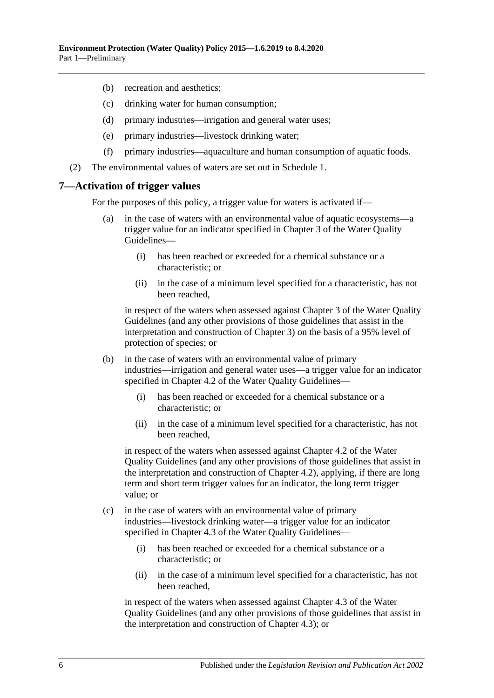- (b) recreation and aesthetics;
- (c) drinking water for human consumption;
- (d) primary industries—irrigation and general water uses;
- (e) primary industries—livestock drinking water;
- (f) primary industries—aquaculture and human consumption of aquatic foods.
- (2) The environmental values of waters are set out in [Schedule](#page-17-2) 1.

#### <span id="page-5-0"></span>**7—Activation of trigger values**

For the purposes of this policy, a trigger value for waters is activated if—

- (a) in the case of waters with an environmental value of aquatic ecosystems—a trigger value for an indicator specified in Chapter 3 of the Water Quality Guidelines—
	- (i) has been reached or exceeded for a chemical substance or a characteristic; or
	- (ii) in the case of a minimum level specified for a characteristic, has not been reached,

in respect of the waters when assessed against Chapter 3 of the Water Quality Guidelines (and any other provisions of those guidelines that assist in the interpretation and construction of Chapter 3) on the basis of a 95% level of protection of species; or

- (b) in the case of waters with an environmental value of primary industries—irrigation and general water uses—a trigger value for an indicator specified in Chapter 4.2 of the Water Quality Guidelines—
	- (i) has been reached or exceeded for a chemical substance or a characteristic; or
	- (ii) in the case of a minimum level specified for a characteristic, has not been reached,

in respect of the waters when assessed against Chapter 4.2 of the Water Quality Guidelines (and any other provisions of those guidelines that assist in the interpretation and construction of Chapter 4.2), applying, if there are long term and short term trigger values for an indicator, the long term trigger value; or

- (c) in the case of waters with an environmental value of primary industries—livestock drinking water—a trigger value for an indicator specified in Chapter 4.3 of the Water Quality Guidelines—
	- (i) has been reached or exceeded for a chemical substance or a characteristic; or
	- (ii) in the case of a minimum level specified for a characteristic, has not been reached,

in respect of the waters when assessed against Chapter 4.3 of the Water Quality Guidelines (and any other provisions of those guidelines that assist in the interpretation and construction of Chapter 4.3); or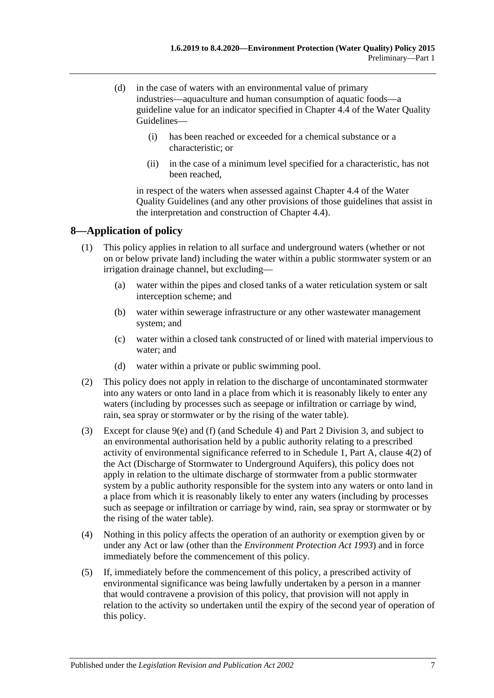- (d) in the case of waters with an environmental value of primary industries—aquaculture and human consumption of aquatic foods—a guideline value for an indicator specified in Chapter 4.4 of the Water Quality Guidelines—
	- (i) has been reached or exceeded for a chemical substance or a characteristic; or
	- (ii) in the case of a minimum level specified for a characteristic, has not been reached,

in respect of the waters when assessed against Chapter 4.4 of the Water Quality Guidelines (and any other provisions of those guidelines that assist in the interpretation and construction of Chapter 4.4).

# <span id="page-6-0"></span>**8—Application of policy**

- (1) This policy applies in relation to all surface and underground waters (whether or not on or below private land) including the water within a public stormwater system or an irrigation drainage channel, but excluding—
	- (a) water within the pipes and closed tanks of a water reticulation system or salt interception scheme; and
	- (b) water within sewerage infrastructure or any other wastewater management system; and
	- (c) water within a closed tank constructed of or lined with material impervious to water; and
	- (d) water within a private or public swimming pool.
- (2) This policy does not apply in relation to the discharge of uncontaminated stormwater into any waters or onto land in a place from which it is reasonably likely to enter any waters (including by processes such as seepage or infiltration or carriage by wind, rain, sea spray or stormwater or by the rising of the water table).
- (3) Except for [clause](#page-7-5) 9(e) and [\(f\)](#page-7-6) (and [Schedule](#page-21-0) 4) and Part [2 Division](#page-16-2) 3, and subject to an environmental authorisation held by a public authority relating to a prescribed activity of environmental significance referred to in Schedule 1, Part A, clause 4(2) of the Act (Discharge of Stormwater to Underground Aquifers), this policy does not apply in relation to the ultimate discharge of stormwater from a public stormwater system by a public authority responsible for the system into any waters or onto land in a place from which it is reasonably likely to enter any waters (including by processes such as seepage or infiltration or carriage by wind, rain, sea spray or stormwater or by the rising of the water table).
- (4) Nothing in this policy affects the operation of an authority or exemption given by or under any Act or law (other than the *[Environment Protection Act](http://www.legislation.sa.gov.au/index.aspx?action=legref&type=act&legtitle=Environment%20Protection%20Act%201993) 1993*) and in force immediately before the commencement of this policy.
- (5) If, immediately before the commencement of this policy, a prescribed activity of environmental significance was being lawfully undertaken by a person in a manner that would contravene a provision of this policy, that provision will not apply in relation to the activity so undertaken until the expiry of the second year of operation of this policy.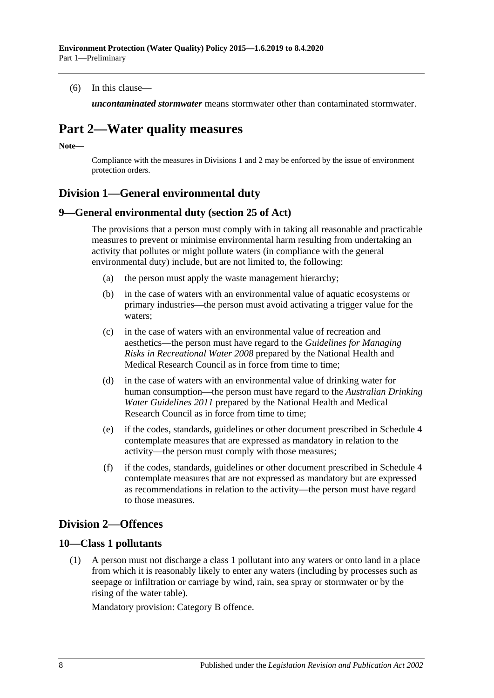(6) In this clause—

*uncontaminated stormwater* means stormwater other than contaminated stormwater.

# <span id="page-7-0"></span>**Part 2—Water quality measures**

**Note—**

Compliance with the measures in [Divisions](#page-7-1) 1 and 2 may be enforced by the issue of environment protection orders.

# <span id="page-7-1"></span>**Division 1—General environmental duty**

### <span id="page-7-2"></span>**9—General environmental duty (section 25 of Act)**

The provisions that a person must comply with in taking all reasonable and practicable measures to prevent or minimise environmental harm resulting from undertaking an activity that pollutes or might pollute waters (in compliance with the general environmental duty) include, but are not limited to, the following:

- (a) the person must apply the waste management hierarchy;
- (b) in the case of waters with an environmental value of aquatic ecosystems or primary industries—the person must avoid activating a trigger value for the waters;
- (c) in the case of waters with an environmental value of recreation and aesthetics—the person must have regard to the *Guidelines for Managing Risks in Recreational Water 2008* prepared by the National Health and Medical Research Council as in force from time to time;
- (d) in the case of waters with an environmental value of drinking water for human consumption—the person must have regard to the *Australian Drinking Water Guidelines 2011* prepared by the National Health and Medical Research Council as in force from time to time;
- <span id="page-7-5"></span>(e) if the codes, standards, guidelines or other document prescribed in [Schedule](#page-21-0) 4 contemplate measures that are expressed as mandatory in relation to the activity—the person must comply with those measures;
- <span id="page-7-6"></span>(f) if the codes, standards, guidelines or other document prescribed in [Schedule](#page-21-0) 4 contemplate measures that are not expressed as mandatory but are expressed as recommendations in relation to the activity—the person must have regard to those measures.

# <span id="page-7-3"></span>**Division 2—Offences**

## <span id="page-7-7"></span><span id="page-7-4"></span>**10—Class 1 pollutants**

(1) A person must not discharge a class 1 pollutant into any waters or onto land in a place from which it is reasonably likely to enter any waters (including by processes such as seepage or infiltration or carriage by wind, rain, sea spray or stormwater or by the rising of the water table).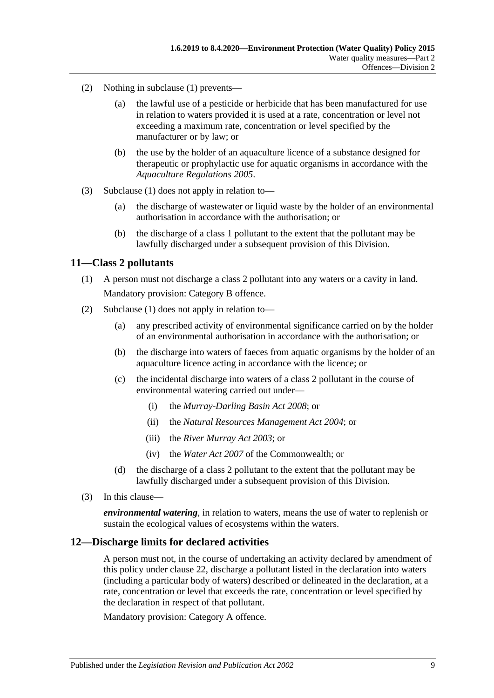- (2) Nothing in [subclause](#page-7-7) (1) prevents—
	- (a) the lawful use of a pesticide or herbicide that has been manufactured for use in relation to waters provided it is used at a rate, concentration or level not exceeding a maximum rate, concentration or level specified by the manufacturer or by law; or
	- (b) the use by the holder of an aquaculture licence of a substance designed for therapeutic or prophylactic use for aquatic organisms in accordance with the *[Aquaculture Regulations](http://www.legislation.sa.gov.au/index.aspx?action=legref&type=subordleg&legtitle=Aquaculture%20Regulations%202005) 2005*.
- (3) [Subclause](#page-7-7) (1) does not apply in relation to—
	- (a) the discharge of wastewater or liquid waste by the holder of an environmental authorisation in accordance with the authorisation; or
	- (b) the discharge of a class 1 pollutant to the extent that the pollutant may be lawfully discharged under a subsequent provision of this Division.

### <span id="page-8-2"></span><span id="page-8-0"></span>**11—Class 2 pollutants**

- (1) A person must not discharge a class 2 pollutant into any waters or a cavity in land. Mandatory provision: Category B offence.
- (2) [Subclause](#page-8-2) (1) does not apply in relation to—
	- (a) any prescribed activity of environmental significance carried on by the holder of an environmental authorisation in accordance with the authorisation; or
	- (b) the discharge into waters of faeces from aquatic organisms by the holder of an aquaculture licence acting in accordance with the licence; or
	- (c) the incidental discharge into waters of a class 2 pollutant in the course of environmental watering carried out under—
		- (i) the *[Murray-Darling Basin Act](http://www.legislation.sa.gov.au/index.aspx?action=legref&type=act&legtitle=Murray-Darling%20Basin%20Act%202008) 2008*; or
		- (ii) the *[Natural Resources Management Act](http://www.legislation.sa.gov.au/index.aspx?action=legref&type=act&legtitle=Natural%20Resources%20Management%20Act%202004) 2004*; or
		- (iii) the *[River Murray Act](http://www.legislation.sa.gov.au/index.aspx?action=legref&type=act&legtitle=River%20Murray%20Act%202003) 2003*; or
		- (iv) the *Water Act 2007* of the Commonwealth; or
	- (d) the discharge of a class 2 pollutant to the extent that the pollutant may be lawfully discharged under a subsequent provision of this Division.
- (3) In this clause—

*environmental watering*, in relation to waters, means the use of water to replenish or sustain the ecological values of ecosystems within the waters.

### <span id="page-8-1"></span>**12—Discharge limits for declared activities**

A person must not, in the course of undertaking an activity declared by amendment of this policy under [clause](#page-17-1) 22, discharge a pollutant listed in the declaration into waters (including a particular body of waters) described or delineated in the declaration, at a rate, concentration or level that exceeds the rate, concentration or level specified by the declaration in respect of that pollutant.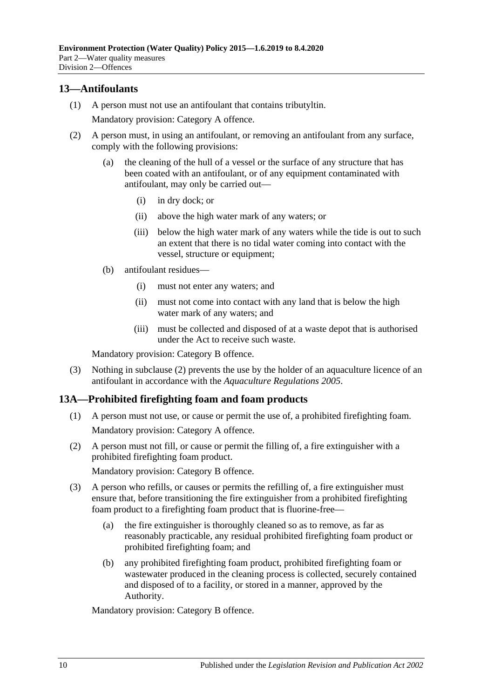## <span id="page-9-0"></span>**13—Antifoulants**

(1) A person must not use an antifoulant that contains tributyltin.

Mandatory provision: Category A offence.

- <span id="page-9-2"></span>(2) A person must, in using an antifoulant, or removing an antifoulant from any surface, comply with the following provisions:
	- (a) the cleaning of the hull of a vessel or the surface of any structure that has been coated with an antifoulant, or of any equipment contaminated with antifoulant, may only be carried out—
		- (i) in dry dock; or
		- (ii) above the high water mark of any waters; or
		- (iii) below the high water mark of any waters while the tide is out to such an extent that there is no tidal water coming into contact with the vessel, structure or equipment;
	- (b) antifoulant residues—
		- (i) must not enter any waters; and
		- (ii) must not come into contact with any land that is below the high water mark of any waters; and
		- (iii) must be collected and disposed of at a waste depot that is authorised under the Act to receive such waste.

Mandatory provision: Category B offence.

(3) Nothing in [subclause](#page-9-2) (2) prevents the use by the holder of an aquaculture licence of an antifoulant in accordance with the *[Aquaculture Regulations](http://www.legislation.sa.gov.au/index.aspx?action=legref&type=subordleg&legtitle=Aquaculture%20Regulations%202005) 2005*.

## <span id="page-9-3"></span><span id="page-9-1"></span>**13A—Prohibited firefighting foam and foam products**

- (1) A person must not use, or cause or permit the use of, a prohibited firefighting foam. Mandatory provision: Category A offence.
- <span id="page-9-4"></span>(2) A person must not fill, or cause or permit the filling of, a fire extinguisher with a prohibited firefighting foam product.

Mandatory provision: Category B offence.

- (3) A person who refills, or causes or permits the refilling of, a fire extinguisher must ensure that, before transitioning the fire extinguisher from a prohibited firefighting foam product to a firefighting foam product that is fluorine-free—
	- (a) the fire extinguisher is thoroughly cleaned so as to remove, as far as reasonably practicable, any residual prohibited firefighting foam product or prohibited firefighting foam; and
	- (b) any prohibited firefighting foam product, prohibited firefighting foam or wastewater produced in the cleaning process is collected, securely contained and disposed of to a facility, or stored in a manner, approved by the Authority.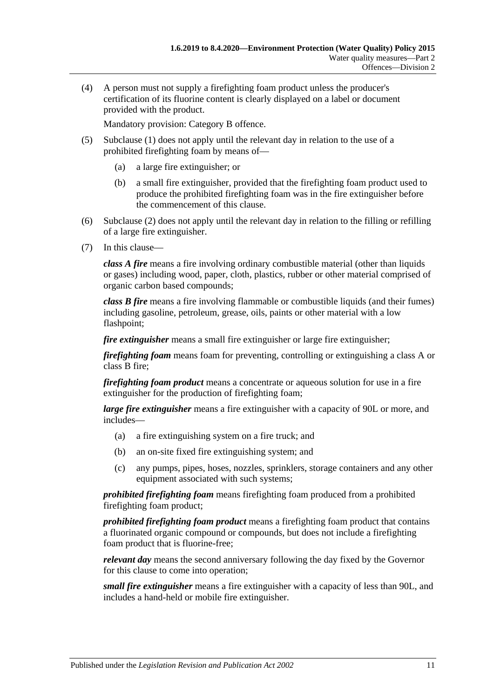(4) A person must not supply a firefighting foam product unless the producer's certification of its fluorine content is clearly displayed on a label or document provided with the product.

Mandatory provision: Category B offence.

- (5) [Subclause](#page-9-3) (1) does not apply until the relevant day in relation to the use of a prohibited firefighting foam by means of—
	- (a) a large fire extinguisher; or
	- (b) a small fire extinguisher, provided that the firefighting foam product used to produce the prohibited firefighting foam was in the fire extinguisher before the commencement of this clause.
- (6) [Subclause](#page-9-4) (2) does not apply until the relevant day in relation to the filling or refilling of a large fire extinguisher.
- (7) In this clause—

*class A fire* means a fire involving ordinary combustible material (other than liquids or gases) including wood, paper, cloth, plastics, rubber or other material comprised of organic carbon based compounds;

*class B fire* means a fire involving flammable or combustible liquids (and their fumes) including gasoline, petroleum, grease, oils, paints or other material with a low flashpoint;

*fire extinguisher* means a small fire extinguisher or large fire extinguisher;

*firefighting foam* means foam for preventing, controlling or extinguishing a class A or class B fire;

*firefighting foam product* means a concentrate or aqueous solution for use in a fire extinguisher for the production of firefighting foam;

*large fire extinguisher* means a fire extinguisher with a capacity of 90L or more, and includes—

- (a) a fire extinguishing system on a fire truck; and
- (b) an on-site fixed fire extinguishing system; and
- (c) any pumps, pipes, hoses, nozzles, sprinklers, storage containers and any other equipment associated with such systems;

*prohibited firefighting foam* means firefighting foam produced from a prohibited firefighting foam product;

*prohibited firefighting foam product* means a firefighting foam product that contains a fluorinated organic compound or compounds, but does not include a firefighting foam product that is fluorine-free;

*relevant day* means the second anniversary following the day fixed by the Governor for this clause to come into operation;

*small fire extinguisher* means a fire extinguisher with a capacity of less than 90L, and includes a hand-held or mobile fire extinguisher.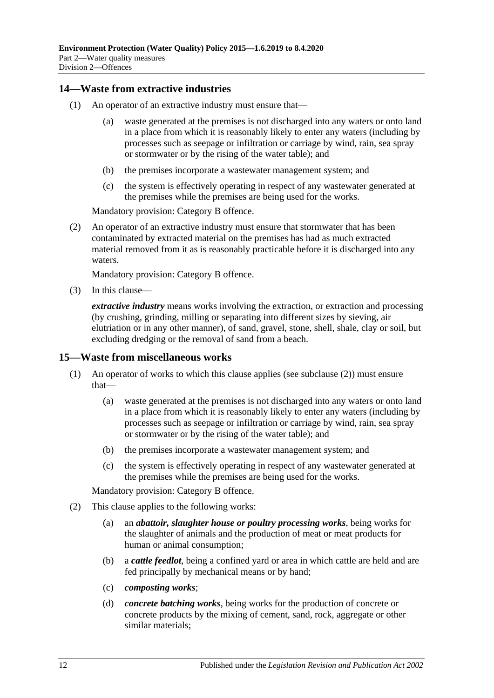### <span id="page-11-0"></span>**14—Waste from extractive industries**

- (1) An operator of an extractive industry must ensure that—
	- (a) waste generated at the premises is not discharged into any waters or onto land in a place from which it is reasonably likely to enter any waters (including by processes such as seepage or infiltration or carriage by wind, rain, sea spray or stormwater or by the rising of the water table); and
	- (b) the premises incorporate a wastewater management system; and
	- (c) the system is effectively operating in respect of any wastewater generated at the premises while the premises are being used for the works.

Mandatory provision: Category B offence.

(2) An operator of an extractive industry must ensure that stormwater that has been contaminated by extracted material on the premises has had as much extracted material removed from it as is reasonably practicable before it is discharged into any waters.

Mandatory provision: Category B offence.

(3) In this clause—

*extractive industry* means works involving the extraction, or extraction and processing (by crushing, grinding, milling or separating into different sizes by sieving, air elutriation or in any other manner), of sand, gravel, stone, shell, shale, clay or soil, but excluding dredging or the removal of sand from a beach.

#### <span id="page-11-1"></span>**15—Waste from miscellaneous works**

- (1) An operator of works to which this clause applies (see [subclause](#page-11-2) (2)) must ensure that—
	- (a) waste generated at the premises is not discharged into any waters or onto land in a place from which it is reasonably likely to enter any waters (including by processes such as seepage or infiltration or carriage by wind, rain, sea spray or stormwater or by the rising of the water table); and
	- (b) the premises incorporate a wastewater management system; and
	- (c) the system is effectively operating in respect of any wastewater generated at the premises while the premises are being used for the works.

- <span id="page-11-2"></span>(2) This clause applies to the following works:
	- (a) an *abattoir, slaughter house or poultry processing works*, being works for the slaughter of animals and the production of meat or meat products for human or animal consumption;
	- (b) a *cattle feedlot*, being a confined yard or area in which cattle are held and are fed principally by mechanical means or by hand;
	- (c) *composting works*;
	- (d) *concrete batching works*, being works for the production of concrete or concrete products by the mixing of cement, sand, rock, aggregate or other similar materials;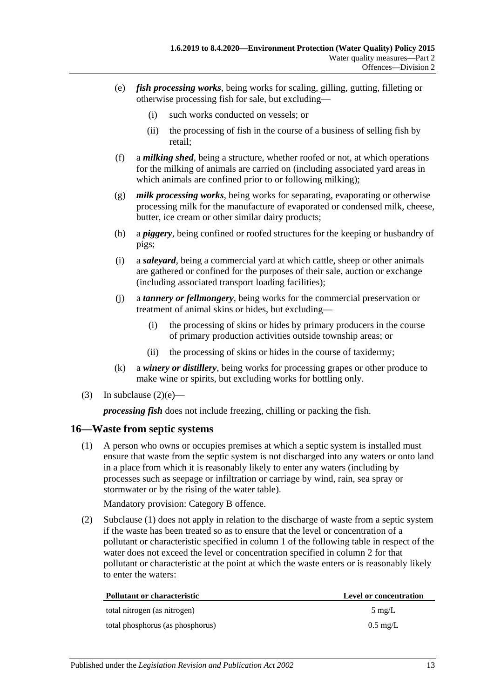- <span id="page-12-1"></span>(e) *fish processing works*, being works for scaling, gilling, gutting, filleting or otherwise processing fish for sale, but excluding—
	- (i) such works conducted on vessels; or
	- (ii) the processing of fish in the course of a business of selling fish by retail;
- (f) a *milking shed*, being a structure, whether roofed or not, at which operations for the milking of animals are carried on (including associated yard areas in which animals are confined prior to or following milking);
- (g) *milk processing works*, being works for separating, evaporating or otherwise processing milk for the manufacture of evaporated or condensed milk, cheese, butter, ice cream or other similar dairy products;
- (h) a *piggery*, being confined or roofed structures for the keeping or husbandry of pigs;
- (i) a *saleyard*, being a commercial yard at which cattle, sheep or other animals are gathered or confined for the purposes of their sale, auction or exchange (including associated transport loading facilities);
- (j) a *tannery or fellmongery*, being works for the commercial preservation or treatment of animal skins or hides, but excluding—
	- (i) the processing of skins or hides by primary producers in the course of primary production activities outside township areas; or
	- (ii) the processing of skins or hides in the course of taxidermy;
- (k) a *winery or distillery*, being works for processing grapes or other produce to make wine or spirits, but excluding works for bottling only.
- (3) In [subclause](#page-12-1)  $(2)(e)$ —

*processing fish* does not include freezing, chilling or packing the fish.

#### <span id="page-12-2"></span><span id="page-12-0"></span>**16—Waste from septic systems**

(1) A person who owns or occupies premises at which a septic system is installed must ensure that waste from the septic system is not discharged into any waters or onto land in a place from which it is reasonably likely to enter any waters (including by processes such as seepage or infiltration or carriage by wind, rain, sea spray or stormwater or by the rising of the water table).

Mandatory provision: Category B offence.

(2) [Subclause](#page-12-2) (1) does not apply in relation to the discharge of waste from a septic system if the waste has been treated so as to ensure that the level or concentration of a pollutant or characteristic specified in column 1 of the following table in respect of the water does not exceed the level or concentration specified in column 2 for that pollutant or characteristic at the point at which the waste enters or is reasonably likely to enter the waters:

| Pollutant or characteristic      | <b>Level or concentration</b> |
|----------------------------------|-------------------------------|
| total nitrogen (as nitrogen)     | $5 \text{ mg/L}$              |
| total phosphorus (as phosphorus) | $0.5 \text{ mg/L}$            |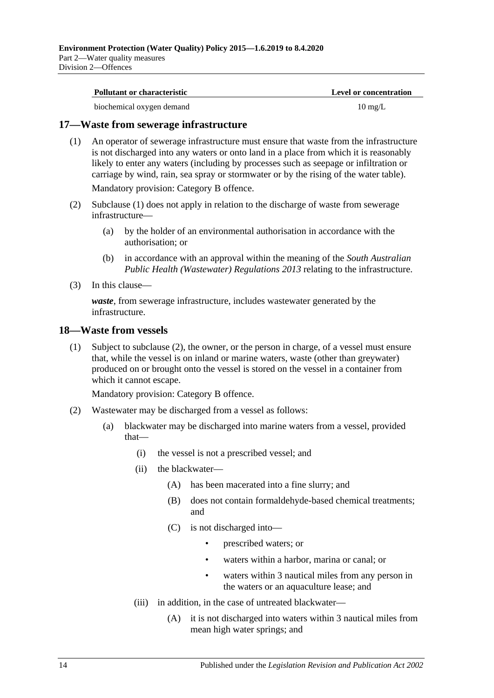| Pollutant or characteristic | <b>Level or concentration</b> |
|-----------------------------|-------------------------------|
| biochemical oxygen demand   | $10 \text{ mg/L}$             |

### <span id="page-13-2"></span><span id="page-13-0"></span>**17—Waste from sewerage infrastructure**

(1) An operator of sewerage infrastructure must ensure that waste from the infrastructure is not discharged into any waters or onto land in a place from which it is reasonably likely to enter any waters (including by processes such as seepage or infiltration or carriage by wind, rain, sea spray or stormwater or by the rising of the water table). Mandatory provision: Category B offence.

(2) [Subclause](#page-13-2) (1) does not apply in relation to the discharge of waste from sewerage infrastructure—

- (a) by the holder of an environmental authorisation in accordance with the authorisation; or
- (b) in accordance with an approval within the meaning of the *[South Australian](http://www.legislation.sa.gov.au/index.aspx?action=legref&type=subordleg&legtitle=South%20Australian%20Public%20Health%20(Wastewater)%20Regulations%202013)  [Public Health \(Wastewater\) Regulations](http://www.legislation.sa.gov.au/index.aspx?action=legref&type=subordleg&legtitle=South%20Australian%20Public%20Health%20(Wastewater)%20Regulations%202013) 2013* relating to the infrastructure.
- (3) In this clause—

*waste*, from sewerage infrastructure, includes wastewater generated by the infrastructure.

#### <span id="page-13-4"></span><span id="page-13-1"></span>**18—Waste from vessels**

(1) Subject to [subclause](#page-13-3) (2), the owner, or the person in charge, of a vessel must ensure that, while the vessel is on inland or marine waters, waste (other than greywater) produced on or brought onto the vessel is stored on the vessel in a container from which it cannot escape.

- <span id="page-13-3"></span>(2) Wastewater may be discharged from a vessel as follows:
	- (a) blackwater may be discharged into marine waters from a vessel, provided that—
		- (i) the vessel is not a prescribed vessel; and
		- (ii) the blackwater—
			- (A) has been macerated into a fine slurry; and
			- (B) does not contain formaldehyde-based chemical treatments; and
			- (C) is not discharged into—
				- prescribed waters; or
				- waters within a harbor, marina or canal; or
				- waters within 3 nautical miles from any person in the waters or an aquaculture lease; and
		- (iii) in addition, in the case of untreated blackwater—
			- (A) it is not discharged into waters within 3 nautical miles from mean high water springs; and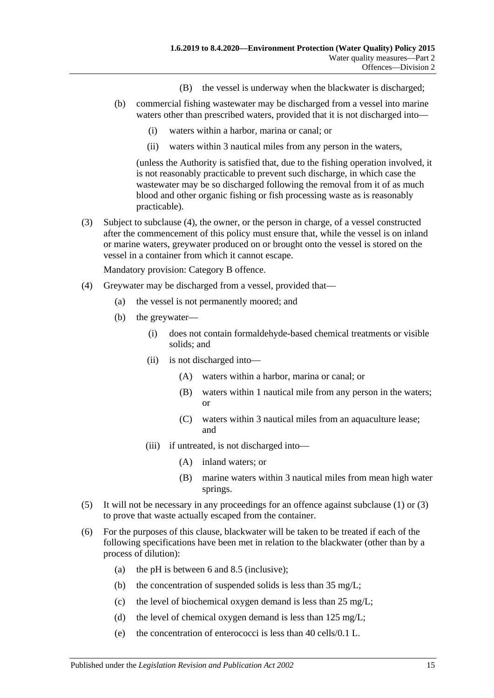- (B) the vessel is underway when the blackwater is discharged;
- (b) commercial fishing wastewater may be discharged from a vessel into marine waters other than prescribed waters, provided that it is not discharged into—
	- (i) waters within a harbor, marina or canal; or
	- (ii) waters within 3 nautical miles from any person in the waters,

(unless the Authority is satisfied that, due to the fishing operation involved, it is not reasonably practicable to prevent such discharge, in which case the wastewater may be so discharged following the removal from it of as much blood and other organic fishing or fish processing waste as is reasonably practicable).

<span id="page-14-1"></span>(3) Subject to [subclause](#page-14-0) (4), the owner, or the person in charge, of a vessel constructed after the commencement of this policy must ensure that, while the vessel is on inland or marine waters, greywater produced on or brought onto the vessel is stored on the vessel in a container from which it cannot escape.

- <span id="page-14-0"></span>(4) Greywater may be discharged from a vessel, provided that—
	- (a) the vessel is not permanently moored; and
	- (b) the greywater—
		- (i) does not contain formaldehyde-based chemical treatments or visible solids; and
		- (ii) is not discharged into—
			- (A) waters within a harbor, marina or canal; or
			- (B) waters within 1 nautical mile from any person in the waters; or
			- (C) waters within 3 nautical miles from an aquaculture lease; and
		- (iii) if untreated, is not discharged into—
			- (A) inland waters; or
			- (B) marine waters within 3 nautical miles from mean high water springs.
- (5) It will not be necessary in any proceedings for an offence against [subclause](#page-13-4) (1) or [\(3\)](#page-14-1) to prove that waste actually escaped from the container.
- <span id="page-14-2"></span>(6) For the purposes of this clause, blackwater will be taken to be treated if each of the following specifications have been met in relation to the blackwater (other than by a process of dilution):
	- (a) the pH is between 6 and 8.5 (inclusive);
	- (b) the concentration of suspended solids is less than 35 mg/L;
	- (c) the level of biochemical oxygen demand is less than 25 mg/L;
	- (d) the level of chemical oxygen demand is less than  $125 \text{ mg/L}$ ;
	- (e) the concentration of enterococci is less than 40 cells/0.1 L.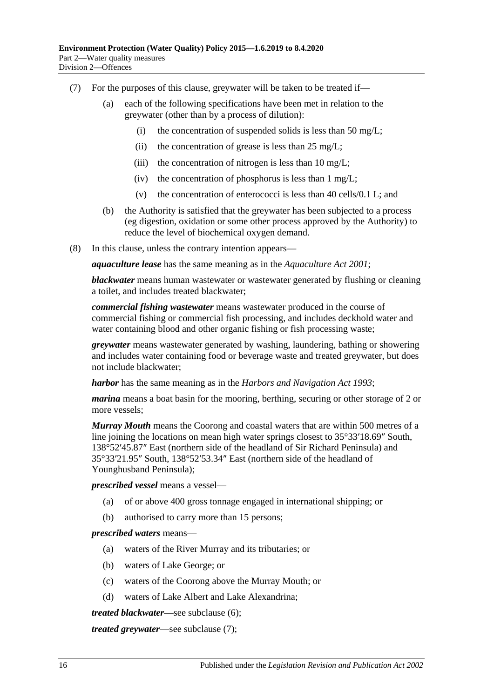- <span id="page-15-0"></span>(7) For the purposes of this clause, greywater will be taken to be treated if—
	- (a) each of the following specifications have been met in relation to the greywater (other than by a process of dilution):
		- (i) the concentration of suspended solids is less than 50 mg/L;
		- (ii) the concentration of grease is less than  $25 \text{ mg/L}$ ;
		- (iii) the concentration of nitrogen is less than  $10 \text{ mg/L}$ ;
		- (iv) the concentration of phosphorus is less than  $1 \text{ mg/L}$ ;
		- (v) the concentration of enterococci is less than 40 cells/0.1 L; and
	- (b) the Authority is satisfied that the greywater has been subjected to a process (eg digestion, oxidation or some other process approved by the Authority) to reduce the level of biochemical oxygen demand.
- (8) In this clause, unless the contrary intention appears—

*aquaculture lease* has the same meaning as in the *[Aquaculture Act](http://www.legislation.sa.gov.au/index.aspx?action=legref&type=act&legtitle=Aquaculture%20Act%202001) 2001*;

*blackwater* means human wastewater or wastewater generated by flushing or cleaning a toilet, and includes treated blackwater;

*commercial fishing wastewater* means wastewater produced in the course of commercial fishing or commercial fish processing, and includes deckhold water and water containing blood and other organic fishing or fish processing waste;

*greywater* means wastewater generated by washing, laundering, bathing or showering and includes water containing food or beverage waste and treated greywater, but does not include blackwater;

*harbor* has the same meaning as in the *[Harbors and Navigation Act](http://www.legislation.sa.gov.au/index.aspx?action=legref&type=act&legtitle=Harbors%20and%20Navigation%20Act%201993) 1993*;

*marina* means a boat basin for the mooring, berthing, securing or other storage of 2 or more vessels;

*Murray Mouth* means the Coorong and coastal waters that are within 500 metres of a line joining the locations on mean high water springs closest to 35°33′18.69″ South, 138°52′45.87″ East (northern side of the headland of Sir Richard Peninsula) and 35°33′21.95″ South, 138°52′53.34″ East (northern side of the headland of Younghusband Peninsula);

*prescribed vessel* means a vessel—

- (a) of or above 400 gross tonnage engaged in international shipping; or
- (b) authorised to carry more than 15 persons;

#### *prescribed waters* means—

- (a) waters of the River Murray and its tributaries; or
- (b) waters of Lake George; or
- (c) waters of the Coorong above the Murray Mouth; or
- (d) waters of Lake Albert and Lake Alexandrina;

*treated blackwater*—see [subclause](#page-14-2) (6);

*treated greywater*—see [subclause](#page-15-0) (7);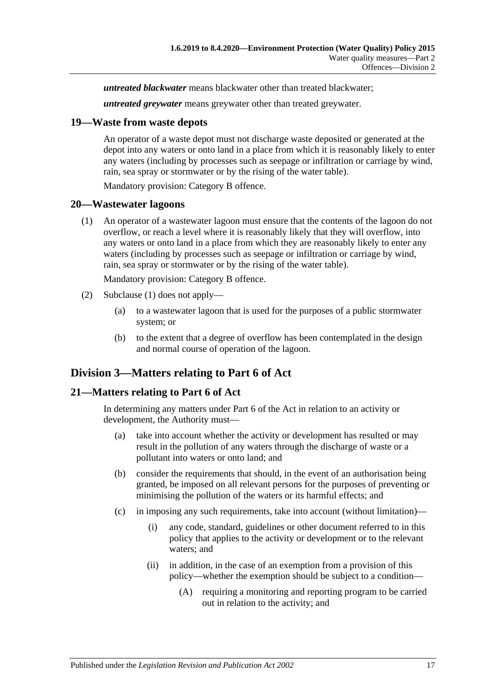*untreated blackwater* means blackwater other than treated blackwater;

*untreated greywater* means greywater other than treated greywater.

### <span id="page-16-0"></span>**19—Waste from waste depots**

An operator of a waste depot must not discharge waste deposited or generated at the depot into any waters or onto land in a place from which it is reasonably likely to enter any waters (including by processes such as seepage or infiltration or carriage by wind, rain, sea spray or stormwater or by the rising of the water table).

Mandatory provision: Category B offence.

#### <span id="page-16-4"></span><span id="page-16-1"></span>**20—Wastewater lagoons**

(1) An operator of a wastewater lagoon must ensure that the contents of the lagoon do not overflow, or reach a level where it is reasonably likely that they will overflow, into any waters or onto land in a place from which they are reasonably likely to enter any waters (including by processes such as seepage or infiltration or carriage by wind, rain, sea spray or stormwater or by the rising of the water table).

Mandatory provision: Category B offence.

- (2) [Subclause](#page-16-4) (1) does not apply—
	- (a) to a wastewater lagoon that is used for the purposes of a public stormwater system; or
	- (b) to the extent that a degree of overflow has been contemplated in the design and normal course of operation of the lagoon.

# <span id="page-16-2"></span>**Division 3—Matters relating to Part 6 of Act**

## <span id="page-16-3"></span>**21—Matters relating to Part 6 of Act**

In determining any matters under Part 6 of the Act in relation to an activity or development, the Authority must—

- (a) take into account whether the activity or development has resulted or may result in the pollution of any waters through the discharge of waste or a pollutant into waters or onto land; and
- (b) consider the requirements that should, in the event of an authorisation being granted, be imposed on all relevant persons for the purposes of preventing or minimising the pollution of the waters or its harmful effects; and
- (c) in imposing any such requirements, take into account (without limitation)—
	- (i) any code, standard, guidelines or other document referred to in this policy that applies to the activity or development or to the relevant waters; and
	- (ii) in addition, in the case of an exemption from a provision of this policy—whether the exemption should be subject to a condition—
		- (A) requiring a monitoring and reporting program to be carried out in relation to the activity; and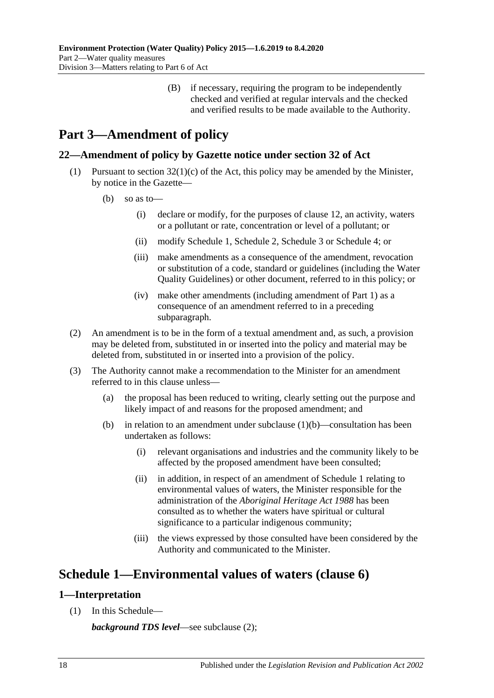(B) if necessary, requiring the program to be independently checked and verified at regular intervals and the checked and verified results to be made available to the Authority.

# <span id="page-17-0"></span>**Part 3—Amendment of policy**

# <span id="page-17-1"></span>**22—Amendment of policy by Gazette notice under section 32 of Act**

- <span id="page-17-4"></span>(1) Pursuant to section  $32(1)(c)$  of the Act, this policy may be amended by the Minister, by notice in the Gazette—
	- (b) so as to—
		- (i) declare or modify, for the purposes of [clause](#page-8-1) 12, an activity, waters or a pollutant or rate, concentration or level of a pollutant; or
		- (ii) modify [Schedule](#page-17-2) 1, [Schedule](#page-19-0) 2, [Schedule](#page-20-0) 3 or [Schedule](#page-21-0) 4; or
		- (iii) make amendments as a consequence of the amendment, revocation or substitution of a code, standard or guidelines (including the Water Quality Guidelines) or other document, referred to in this policy; or
		- (iv) make other amendments (including amendment of [Part](#page-1-0) 1) as a consequence of an amendment referred to in a preceding subparagraph.
- (2) An amendment is to be in the form of a textual amendment and, as such, a provision may be deleted from, substituted in or inserted into the policy and material may be deleted from, substituted in or inserted into a provision of the policy.
- (3) The Authority cannot make a recommendation to the Minister for an amendment referred to in this clause unless—
	- (a) the proposal has been reduced to writing, clearly setting out the purpose and likely impact of and reasons for the proposed amendment; and
	- (b) in relation to an amendment under [subclause](#page-17-4)  $(1)(b)$ —consultation has been undertaken as follows:
		- (i) relevant organisations and industries and the community likely to be affected by the proposed amendment have been consulted;
		- (ii) in addition, in respect of an amendment of [Schedule](#page-17-2) 1 relating to environmental values of waters, the Minister responsible for the administration of the *[Aboriginal Heritage Act](http://www.legislation.sa.gov.au/index.aspx?action=legref&type=act&legtitle=Aboriginal%20Heritage%20Act%201988) 1988* has been consulted as to whether the waters have spiritual or cultural significance to a particular indigenous community;
		- (iii) the views expressed by those consulted have been considered by the Authority and communicated to the Minister.

# <span id="page-17-2"></span>**Schedule 1—Environmental values of waters [\(clause](#page-4-1) 6)**

# <span id="page-17-3"></span>**1—Interpretation**

(1) In this Schedule—

*background TDS level*—see [subclause](#page-18-2) (2);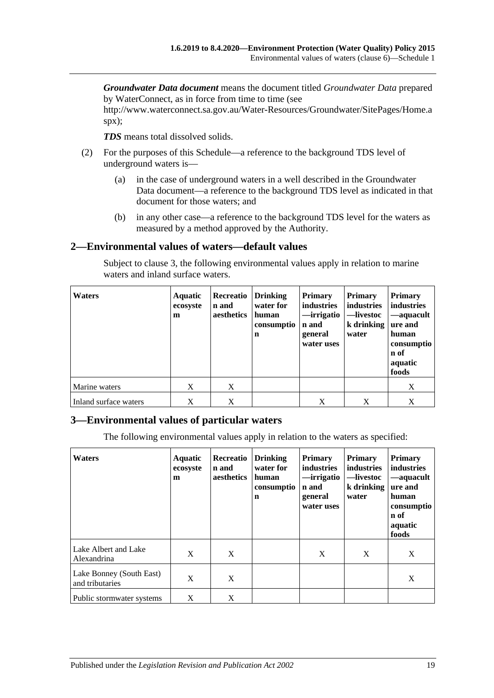*Groundwater Data document* means the document titled *Groundwater Data* prepared by WaterConnect, as in force from time to time (see

http://www.waterconnect.sa.gov.au/Water-Resources/Groundwater/SitePages/Home.a spx);

*TDS* means total dissolved solids.

- <span id="page-18-2"></span>(2) For the purposes of this Schedule—a reference to the background TDS level of underground waters is—
	- (a) in the case of underground waters in a well described in the Groundwater Data document—a reference to the background TDS level as indicated in that document for those waters; and
	- (b) in any other case—a reference to the background TDS level for the waters as measured by a method approved by the Authority.

## <span id="page-18-0"></span>**2—Environmental values of waters—default values**

Subject to [clause](#page-18-1) 3, the following environmental values apply in relation to marine waters and inland surface waters.

| <b>Waters</b>         | <b>Aquatic</b><br>ecosyste<br>m | Recreatio<br>n and<br>aesthetics | Drinking<br>water for<br>human<br>consumptio<br>$\mathbf n$ | <b>Primary</b><br>industries<br>—irrigatio<br>n and<br>general<br>water uses | <b>Primary</b><br>industries<br>—livestoc<br>$k$ drinking<br>water | <b>Primary</b><br>industries<br>—aquacult<br>ure and<br>human<br>consumptio<br>n of<br>aquatic<br>foods |
|-----------------------|---------------------------------|----------------------------------|-------------------------------------------------------------|------------------------------------------------------------------------------|--------------------------------------------------------------------|---------------------------------------------------------------------------------------------------------|
| Marine waters         | X                               | X                                |                                                             |                                                                              |                                                                    | X                                                                                                       |
| Inland surface waters | X                               | X                                |                                                             | X                                                                            | Χ                                                                  | X                                                                                                       |

## <span id="page-18-1"></span>**3—Environmental values of particular waters**

The following environmental values apply in relation to the waters as specified:

| <b>Waters</b>                               | <b>Aquatic</b><br>ecosyste<br>m | Recreatio<br>n and<br>aesthetics | <b>Drinking</b><br>water for<br>human<br>consumptio<br>n | <b>Primary</b><br>industries<br>—irrigatio<br>n and<br>general<br>water uses | <b>Primary</b><br>industries<br>—livestoc<br>k drinking<br>water | <b>Primary</b><br>industries<br>-aquacult<br>ure and<br>human<br>consumptio<br>n of<br>aquatic<br>foods |
|---------------------------------------------|---------------------------------|----------------------------------|----------------------------------------------------------|------------------------------------------------------------------------------|------------------------------------------------------------------|---------------------------------------------------------------------------------------------------------|
| Lake Albert and Lake<br>Alexandrina         | X                               | X                                |                                                          | X                                                                            | X                                                                | X                                                                                                       |
| Lake Bonney (South East)<br>and tributaries | X                               | X                                |                                                          |                                                                              |                                                                  | X                                                                                                       |
| Public stormwater systems                   | X                               | X                                |                                                          |                                                                              |                                                                  |                                                                                                         |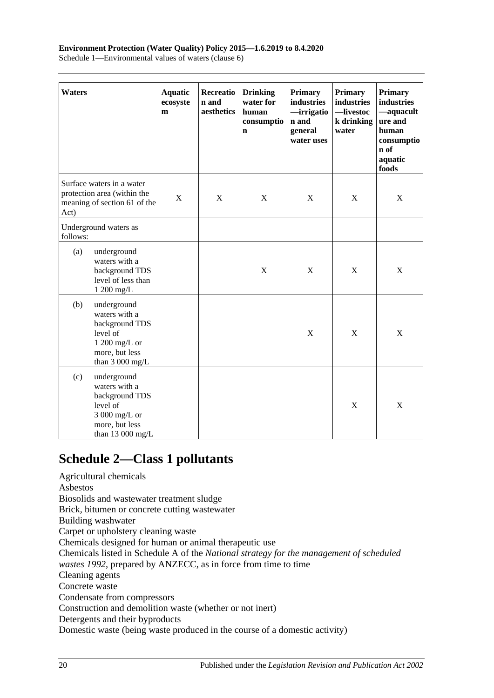#### **Environment Protection (Water Quality) Policy 2015—1.6.2019 to 8.4.2020**

Schedule 1—Environmental values of waters (clause 6)

| Waters   |                                                                                                                    | <b>Aquatic</b><br>ecosyste<br>m | Recreatio<br>n and<br>aesthetics | <b>Drinking</b><br>water for<br>human<br>consumptio<br>n | <b>Primary</b><br>industries<br>—irrigatio<br>n and<br>general<br>water uses | <b>Primary</b><br>industries<br>-livestoc<br>k drinking<br>water | Primary<br>industries<br>-aquacult<br>ure and<br>human<br>consumptio<br>n of<br>aquatic<br>foods |
|----------|--------------------------------------------------------------------------------------------------------------------|---------------------------------|----------------------------------|----------------------------------------------------------|------------------------------------------------------------------------------|------------------------------------------------------------------|--------------------------------------------------------------------------------------------------|
| Act)     | Surface waters in a water<br>protection area (within the<br>meaning of section 61 of the                           | X                               | X                                | X                                                        | $\mathbf X$                                                                  | X                                                                | X                                                                                                |
| follows: | Underground waters as                                                                                              |                                 |                                  |                                                          |                                                                              |                                                                  |                                                                                                  |
| (a)      | underground<br>waters with a<br>background TDS<br>level of less than<br>1 200 mg/L                                 |                                 |                                  | X                                                        | X                                                                            | X                                                                | X                                                                                                |
| (b)      | underground<br>waters with a<br>background TDS<br>level of<br>1 200 mg/L or<br>more, but less<br>than $3000$ mg/L  |                                 |                                  |                                                          | $\mathbf X$                                                                  | $\mathbf X$                                                      | $\mathbf X$                                                                                      |
| (c)      | underground<br>waters with a<br>background TDS<br>level of<br>3 000 mg/L or<br>more, but less<br>than $13000$ mg/L |                                 |                                  |                                                          |                                                                              | $\mathbf X$                                                      | $\mathbf X$                                                                                      |

# <span id="page-19-0"></span>**Schedule 2—Class 1 pollutants**

Agricultural chemicals Asbestos Biosolids and wastewater treatment sludge Brick, bitumen or concrete cutting wastewater Building washwater Carpet or upholstery cleaning waste Chemicals designed for human or animal therapeutic use Chemicals listed in Schedule A of the *National strategy for the management of scheduled wastes 1992*, prepared by ANZECC, as in force from time to time Cleaning agents Concrete waste Condensate from compressors Construction and demolition waste (whether or not inert) Detergents and their byproducts Domestic waste (being waste produced in the course of a domestic activity)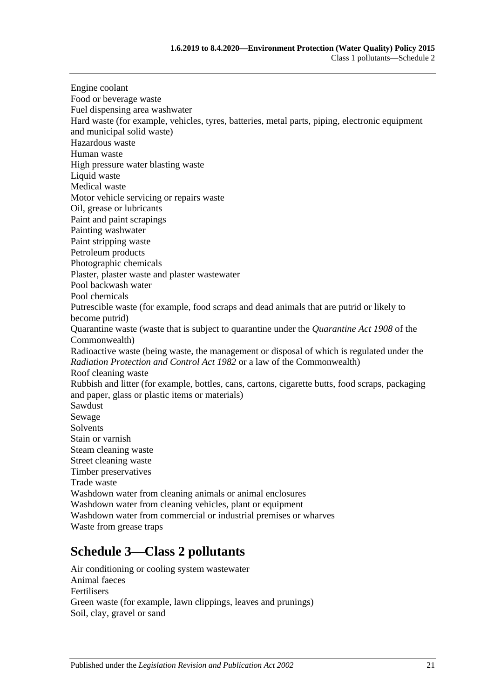Engine coolant Food or beverage waste Fuel dispensing area washwater Hard waste (for example, vehicles, tyres, batteries, metal parts, piping, electronic equipment and municipal solid waste) Hazardous waste Human waste High pressure water blasting waste Liquid waste Medical waste Motor vehicle servicing or repairs waste Oil, grease or lubricants Paint and paint scrapings Painting washwater Paint stripping waste Petroleum products Photographic chemicals Plaster, plaster waste and plaster wastewater Pool backwash water Pool chemicals Putrescible waste (for example, food scraps and dead animals that are putrid or likely to become putrid) Quarantine waste (waste that is subject to quarantine under the *Quarantine Act 1908* of the Commonwealth) Radioactive waste (being waste, the management or disposal of which is regulated under the *[Radiation Protection and Control Act](http://www.legislation.sa.gov.au/index.aspx?action=legref&type=act&legtitle=Radiation%20Protection%20and%20Control%20Act%201982) 1982* or a law of the Commonwealth) Roof cleaning waste Rubbish and litter (for example, bottles, cans, cartons, cigarette butts, food scraps, packaging and paper, glass or plastic items or materials) Sawdust Sewage **Solvents** Stain or varnish Steam cleaning waste Street cleaning waste Timber preservatives Trade waste Washdown water from cleaning animals or animal enclosures Washdown water from cleaning vehicles, plant or equipment Washdown water from commercial or industrial premises or wharves Waste from grease traps

# <span id="page-20-0"></span>**Schedule 3—Class 2 pollutants**

Air conditioning or cooling system wastewater Animal faeces Fertilisers Green waste (for example, lawn clippings, leaves and prunings) Soil, clay, gravel or sand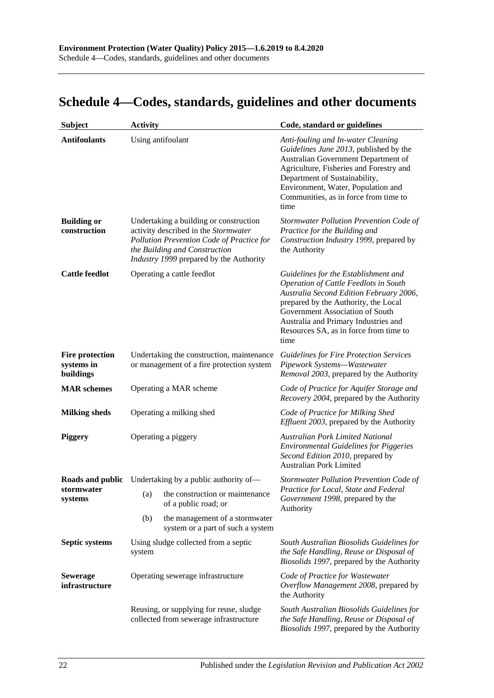# <span id="page-21-0"></span>**Schedule 4—Codes, standards, guidelines and other documents**

| <b>Subject</b>                                    | <b>Activity</b>                                                                        |                                                                                                                                                                                                         | Code, standard or guidelines                                                                                                                                                                                                                                                           |  |
|---------------------------------------------------|----------------------------------------------------------------------------------------|---------------------------------------------------------------------------------------------------------------------------------------------------------------------------------------------------------|----------------------------------------------------------------------------------------------------------------------------------------------------------------------------------------------------------------------------------------------------------------------------------------|--|
| <b>Antifoulants</b>                               |                                                                                        | Using antifoulant                                                                                                                                                                                       | Anti-fouling and In-water Cleaning<br>Guidelines June 2013, published by the<br>Australian Government Department of<br>Agriculture, Fisheries and Forestry and<br>Department of Sustainability,<br>Environment, Water, Population and<br>Communities, as in force from time to<br>time |  |
| <b>Building or</b><br>construction                |                                                                                        | Undertaking a building or construction<br>activity described in the Stormwater<br>Pollution Prevention Code of Practice for<br>the Building and Construction<br>Industry 1999 prepared by the Authority | Stormwater Pollution Prevention Code of<br>Practice for the Building and<br>Construction Industry 1999, prepared by<br>the Authority                                                                                                                                                   |  |
| <b>Cattle feedlot</b>                             | Operating a cattle feedlot<br>time                                                     |                                                                                                                                                                                                         | Guidelines for the Establishment and<br>Operation of Cattle Feedlots in South<br>Australia Second Edition February 2006,<br>prepared by the Authority, the Local<br>Government Association of South<br>Australia and Primary Industries and<br>Resources SA, as in force from time to  |  |
| <b>Fire protection</b><br>systems in<br>buildings | Undertaking the construction, maintenance<br>or management of a fire protection system |                                                                                                                                                                                                         | <b>Guidelines for Fire Protection Services</b><br>Pipework Systems-Wastewater<br>Removal 2003, prepared by the Authority                                                                                                                                                               |  |
| <b>MAR</b> schemes                                |                                                                                        | Operating a MAR scheme                                                                                                                                                                                  | Code of Practice for Aquifer Storage and<br>Recovery 2004, prepared by the Authority                                                                                                                                                                                                   |  |
| <b>Milking sheds</b>                              |                                                                                        | Operating a milking shed                                                                                                                                                                                | Code of Practice for Milking Shed<br><i>Effluent 2003</i> , prepared by the Authority                                                                                                                                                                                                  |  |
| <b>Piggery</b>                                    |                                                                                        | Operating a piggery                                                                                                                                                                                     | <b>Australian Pork Limited National</b><br><b>Environmental Guidelines for Piggeries</b><br>Second Edition 2010, prepared by<br><b>Australian Pork Limited</b>                                                                                                                         |  |
|                                                   |                                                                                        | <b>Roads and public</b> Undertaking by a public authority of-                                                                                                                                           | Stormwater Pollution Prevention Code of                                                                                                                                                                                                                                                |  |
| stormwater<br>systems                             | (a)                                                                                    | the construction or maintenance<br>of a public road; or                                                                                                                                                 | Practice for Local, State and Federal<br>Government 1998, prepared by the<br>Authority                                                                                                                                                                                                 |  |
|                                                   | (b)                                                                                    | the management of a stormwater<br>system or a part of such a system                                                                                                                                     |                                                                                                                                                                                                                                                                                        |  |
| Septic systems                                    | Using sludge collected from a septic<br>system                                         |                                                                                                                                                                                                         | South Australian Biosolids Guidelines for<br>the Safe Handling, Reuse or Disposal of<br>Biosolids 1997, prepared by the Authority                                                                                                                                                      |  |
| <b>Sewerage</b><br>infrastructure                 |                                                                                        | Operating sewerage infrastructure                                                                                                                                                                       | Code of Practice for Wastewater<br>Overflow Management 2008, prepared by<br>the Authority                                                                                                                                                                                              |  |
|                                                   | Reusing, or supplying for reuse, sludge<br>collected from sewerage infrastructure      |                                                                                                                                                                                                         | South Australian Biosolids Guidelines for<br>the Safe Handling, Reuse or Disposal of<br>Biosolids 1997, prepared by the Authority                                                                                                                                                      |  |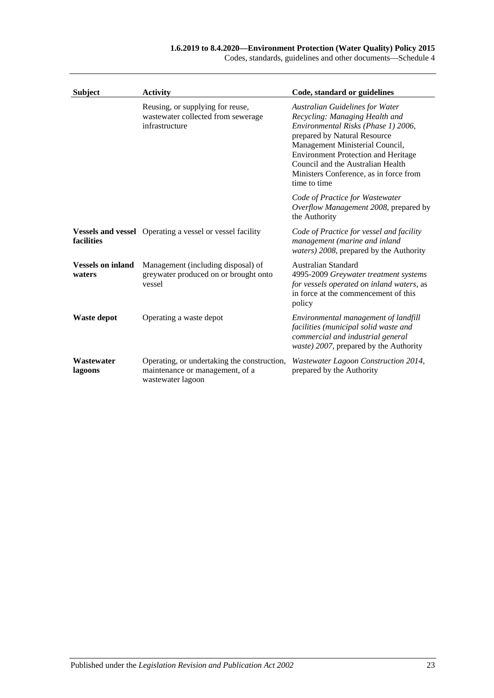|  |  | Codes, standards, guidelines and other documents—Schedule 4 |  |
|--|--|-------------------------------------------------------------|--|
|--|--|-------------------------------------------------------------|--|

| <b>Subject</b>                     | <b>Activity</b>                                                                                     | Code, standard or guidelines                                                                                                                                                                                                                                                                                                    |
|------------------------------------|-----------------------------------------------------------------------------------------------------|---------------------------------------------------------------------------------------------------------------------------------------------------------------------------------------------------------------------------------------------------------------------------------------------------------------------------------|
|                                    | Reusing, or supplying for reuse,<br>wastewater collected from sewerage<br>infrastructure            | <b>Australian Guidelines for Water</b><br>Recycling: Managing Health and<br>Environmental Risks (Phase 1) 2006,<br>prepared by Natural Resource<br>Management Ministerial Council,<br><b>Environment Protection and Heritage</b><br>Council and the Australian Health<br>Ministers Conference, as in force from<br>time to time |
|                                    |                                                                                                     | Code of Practice for Wastewater<br>Overflow Management 2008, prepared by<br>the Authority                                                                                                                                                                                                                                       |
| facilities                         | <b>Vessels and vessel</b> Operating a vessel or vessel facility                                     | Code of Practice for vessel and facility<br>management (marine and inland<br>waters) 2008, prepared by the Authority                                                                                                                                                                                                            |
| <b>Vessels on inland</b><br>waters | Management (including disposal) of<br>greywater produced on or brought onto<br>vessel               | Australian Standard<br>4995-2009 Greywater treatment systems<br>for vessels operated on inland waters, as<br>in force at the commencement of this<br>policy                                                                                                                                                                     |
| <b>Waste depot</b>                 | Operating a waste depot                                                                             | Environmental management of landfill<br>facilities (municipal solid waste and<br>commercial and industrial general<br>waste) 2007, prepared by the Authority                                                                                                                                                                    |
| Wastewater<br>lagoons              | Operating, or undertaking the construction,<br>maintenance or management, of a<br>wastewater lagoon | Wastewater Lagoon Construction 2014,<br>prepared by the Authority                                                                                                                                                                                                                                                               |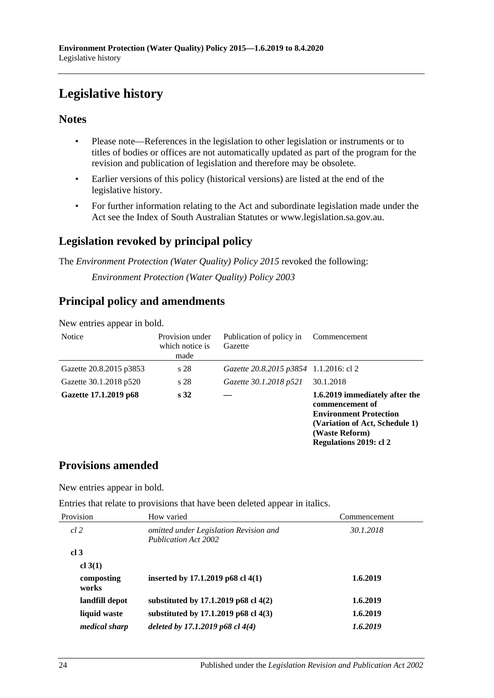# <span id="page-23-0"></span>**Legislative history**

# **Notes**

- Please note—References in the legislation to other legislation or instruments or to titles of bodies or offices are not automatically updated as part of the program for the revision and publication of legislation and therefore may be obsolete.
- Earlier versions of this policy (historical versions) are listed at the end of the legislative history.
- For further information relating to the Act and subordinate legislation made under the Act see the Index of South Australian Statutes or www.legislation.sa.gov.au.

# **Legislation revoked by principal policy**

The *Environment Protection (Water Quality) Policy 2015* revoked the following:

*Environment Protection (Water Quality) Policy 2003*

# **Principal policy and amendments**

| <b>Notice</b>           | Provision under<br>which notice is<br>made | Publication of policy in<br>Gazette    | Commencement                                                                                                                                                     |
|-------------------------|--------------------------------------------|----------------------------------------|------------------------------------------------------------------------------------------------------------------------------------------------------------------|
| Gazette 20.8.2015 p3853 | s 28                                       | Gazette 20.8.2015 p3854 1.1.2016: cl 2 |                                                                                                                                                                  |
| Gazette 30.1.2018 p520  | s 28                                       | Gazette 30.1.2018 p521                 | 30.1.2018                                                                                                                                                        |
| Gazette 17.1.2019 p68   | s <sub>32</sub>                            |                                        | 1.6.2019 immediately after the<br>commencement of<br><b>Environment Protection</b><br>(Variation of Act, Schedule 1)<br>(Waste Reform)<br>Regulations 2019: cl 2 |

New entries appear in bold.

# **Provisions amended**

New entries appear in bold.

Entries that relate to provisions that have been deleted appear in italics.

| Provision            | How varied                                                     | Commencement |
|----------------------|----------------------------------------------------------------|--------------|
| $cl$ 2               | omitted under Legislation Revision and<br>Publication Act 2002 | 30.1.2018    |
| cl <sub>3</sub>      |                                                                |              |
| cl $3(1)$            |                                                                |              |
| composting<br>works  | inserted by 17.1.2019 p68 cl 4(1)                              | 1.6.2019     |
| landfill depot       | substituted by 17.1.2019 p68 cl 4(2)                           | 1.6.2019     |
| liquid waste         | substituted by 17.1.2019 p68 cl 4(3)                           | 1.6.2019     |
| <i>medical sharp</i> | deleted by 17.1.2019 p68 cl $4(4)$                             | 1.6.2019     |
|                      |                                                                |              |